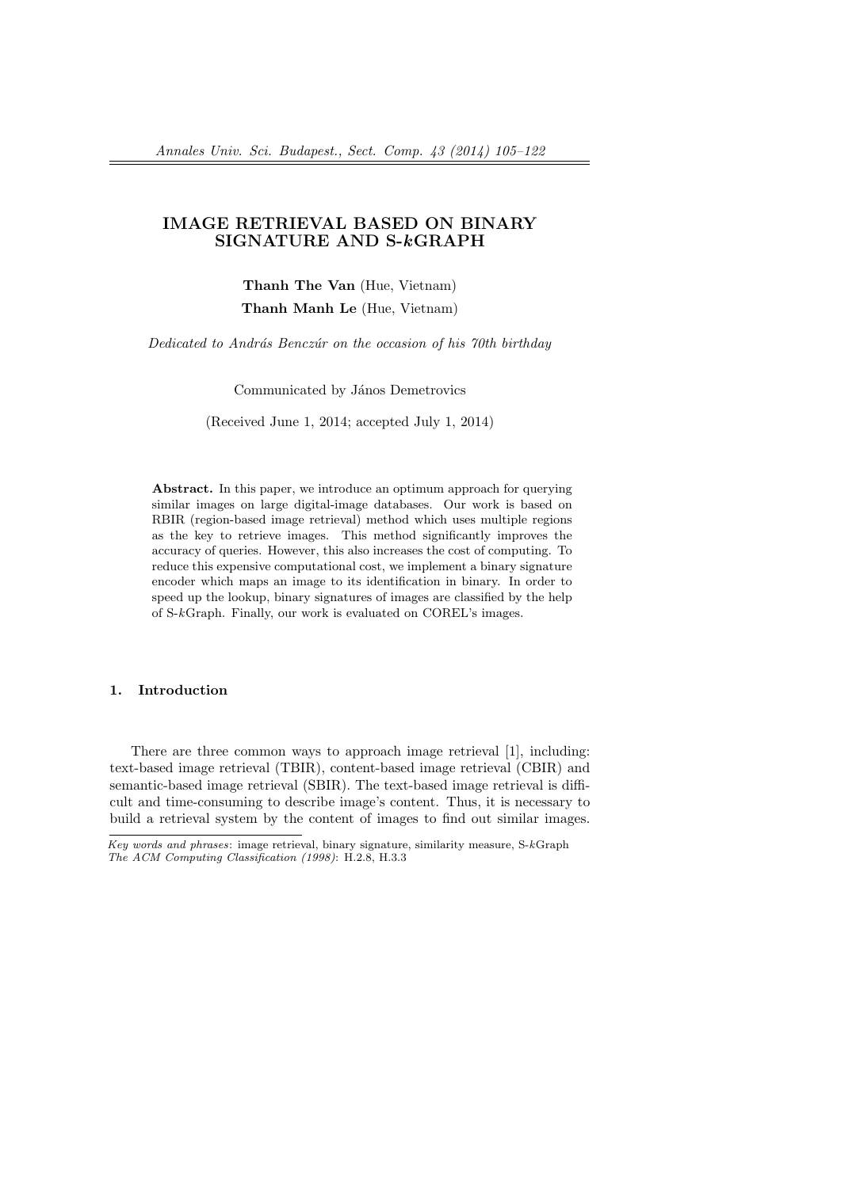# **IMAGE RETRIEVAL BASED ON BINARY SIGNATURE AND S-***k***GRAPH**

**Thanh The Van** (Hue, Vietnam) **Thanh Manh Le** (Hue, Vietnam)

*Dedicated to Andr´as Bencz´ur on the occasion of his 70th birthday*

Communicated by János Demetrovics

(Received June 1, 2014; accepted July 1, 2014)

**Abstract.** In this paper, we introduce an optimum approach for querying similar images on large digital-image databases. Our work is based on RBIR (region-based image retrieval) method which uses multiple regions as the key to retrieve images. This method significantly improves the accuracy of queries. However, this also increases the cost of computing. To reduce this expensive computational cost, we implement a binary signature encoder which maps an image to its identification in binary. In order to speed up the lookup, binary signatures of images are classified by the help of S-*k*Graph. Finally, our work is evaluated on COREL's images.

### **1. Introduction**

There are three common ways to approach image retrieval [1], including: text-based image retrieval (TBIR), content-based image retrieval (CBIR) and semantic-based image retrieval (SBIR). The text-based image retrieval is difficult and time-consuming to describe image's content. Thus, it is necessary to build a retrieval system by the content of images to find out similar images.

*Key words and phrases*: image retrieval, binary signature, similarity measure, S-*k*Graph *The ACM Computing Classification (1998)*: H.2.8, H.3.3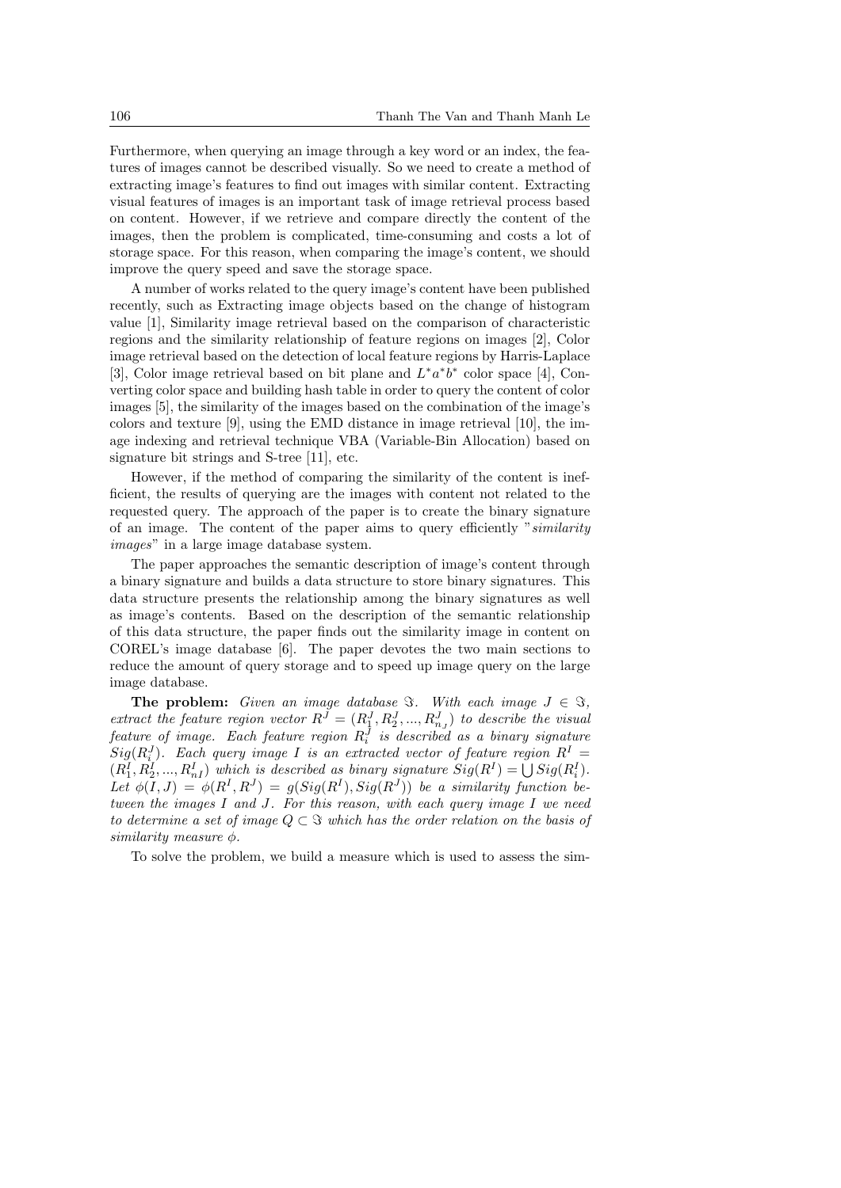Furthermore, when querying an image through a key word or an index, the features of images cannot be described visually. So we need to create a method of extracting image's features to find out images with similar content. Extracting visual features of images is an important task of image retrieval process based on content. However, if we retrieve and compare directly the content of the images, then the problem is complicated, time-consuming and costs a lot of storage space. For this reason, when comparing the image's content, we should improve the query speed and save the storage space.

A number of works related to the query image's content have been published recently, such as Extracting image objects based on the change of histogram value [1], Similarity image retrieval based on the comparison of characteristic regions and the similarity relationship of feature regions on images [2], Color image retrieval based on the detection of local feature regions by Harris-Laplace [3], Color image retrieval based on bit plane and  $L^* a^* b^*$  color space [4], Converting color space and building hash table in order to query the content of color images [5], the similarity of the images based on the combination of the image's colors and texture [9], using the EMD distance in image retrieval [10], the image indexing and retrieval technique VBA (Variable-Bin Allocation) based on signature bit strings and S-tree [11], etc.

However, if the method of comparing the similarity of the content is inefficient, the results of querying are the images with content not related to the requested query. The approach of the paper is to create the binary signature of an image. The content of the paper aims to query efficiently "*similarity images*" in a large image database system.

The paper approaches the semantic description of image's content through a binary signature and builds a data structure to store binary signatures. This data structure presents the relationship among the binary signatures as well as image's contents. Based on the description of the semantic relationship of this data structure, the paper finds out the similarity image in content on COREL's image database [6]. The paper devotes the two main sections to reduce the amount of query storage and to speed up image query on the large image database.

**The problem:** *Given an image database*  $\Im$ *. With each image*  $J \in \Im$ *, extract the feature region vector*  $R^J = (R_1^J, R_2^J, ..., R_{n_J}^J)$  *to describe the visual feature of image. Each feature region R<sup>J</sup> i is described as a binary signature*  $Sig(R_i^J)$ *. Each query image I is an extracted vector of feature region*  $R^I$  =  $(R_1^I, R_2^I, ..., R_n^I)$  which is described as binary signature  $Sig(R^I) = \bigcup Sig(R_i^I)$ . Let  $\phi(I, J) = \phi(R^I, R^J) = g(Sig(R^I), Sig(R^J))$  be a similarity function be*tween the images I and J. For this reason, with each query image I we need to determine a set of image*  $Q \subset \mathcal{F}$  *which has the order relation on the basis of similarity measure ϕ.*

To solve the problem, we build a measure which is used to assess the sim-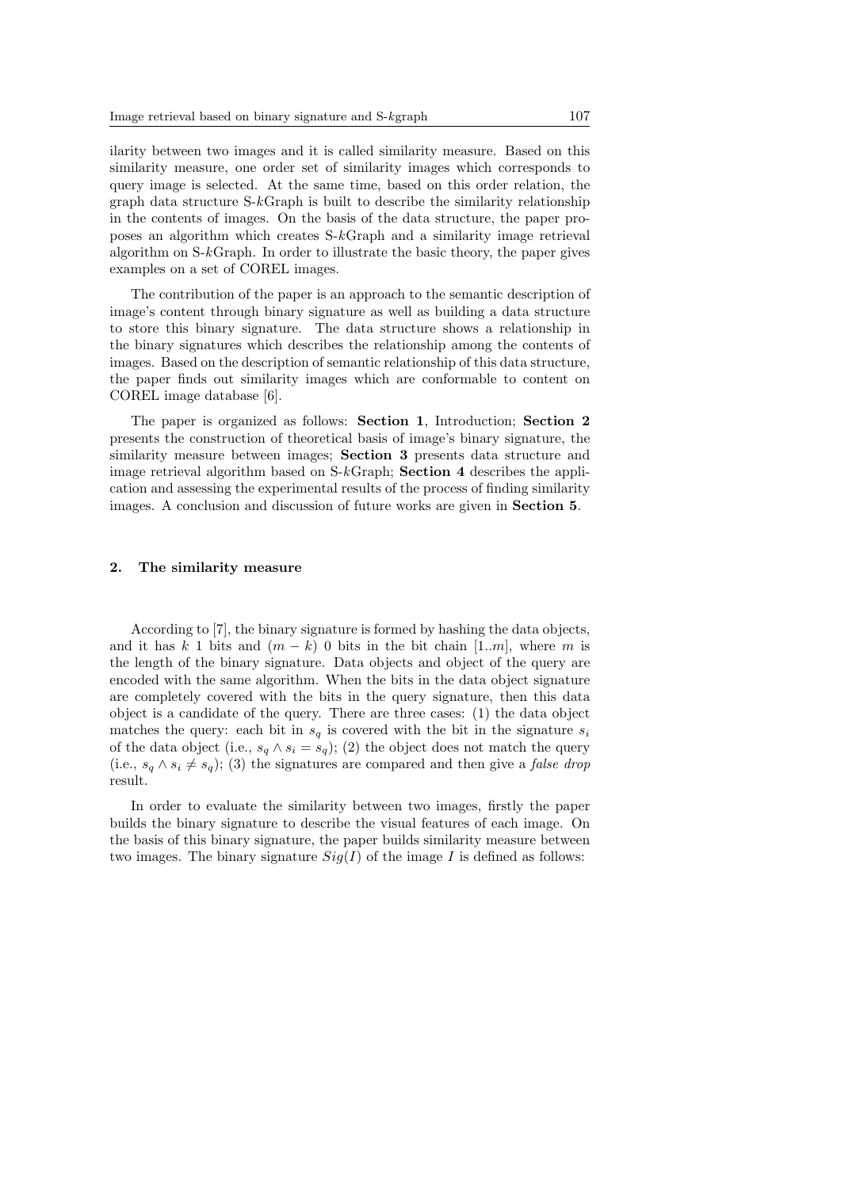ilarity between two images and it is called similarity measure. Based on this similarity measure, one order set of similarity images which corresponds to query image is selected. At the same time, based on this order relation, the graph data structure S-*k*Graph is built to describe the similarity relationship in the contents of images. On the basis of the data structure, the paper proposes an algorithm which creates S-*k*Graph and a similarity image retrieval algorithm on S-*k*Graph. In order to illustrate the basic theory, the paper gives examples on a set of COREL images.

The contribution of the paper is an approach to the semantic description of image's content through binary signature as well as building a data structure to store this binary signature. The data structure shows a relationship in the binary signatures which describes the relationship among the contents of images. Based on the description of semantic relationship of this data structure, the paper finds out similarity images which are conformable to content on COREL image database [6].

The paper is organized as follows: **Section 1**, Introduction; **Section 2** presents the construction of theoretical basis of image's binary signature, the similarity measure between images; **Section 3** presents data structure and image retrieval algorithm based on S-*k*Graph; **Section 4** describes the application and assessing the experimental results of the process of finding similarity images. A conclusion and discussion of future works are given in **Section 5**.

#### **2. The similarity measure**

According to [7], the binary signature is formed by hashing the data objects, and it has  $k \neq 1$  bits and  $(m-k)$  0 bits in the bit chain [1*.m*], where m is the length of the binary signature. Data objects and object of the query are encoded with the same algorithm. When the bits in the data object signature are completely covered with the bits in the query signature, then this data object is a candidate of the query. There are three cases: (1) the data object matches the query: each bit in  $s_q$  is covered with the bit in the signature  $s_i$ of the data object (i.e.,  $s_q \wedge s_i = s_q$ ); (2) the object does not match the query (i.e.,  $s_q \wedge s_i \neq s_q$ ); (3) the signatures are compared and then give a *false drop* result.

In order to evaluate the similarity between two images, firstly the paper builds the binary signature to describe the visual features of each image. On the basis of this binary signature, the paper builds similarity measure between two images. The binary signature  $Siq(I)$  of the image *I* is defined as follows: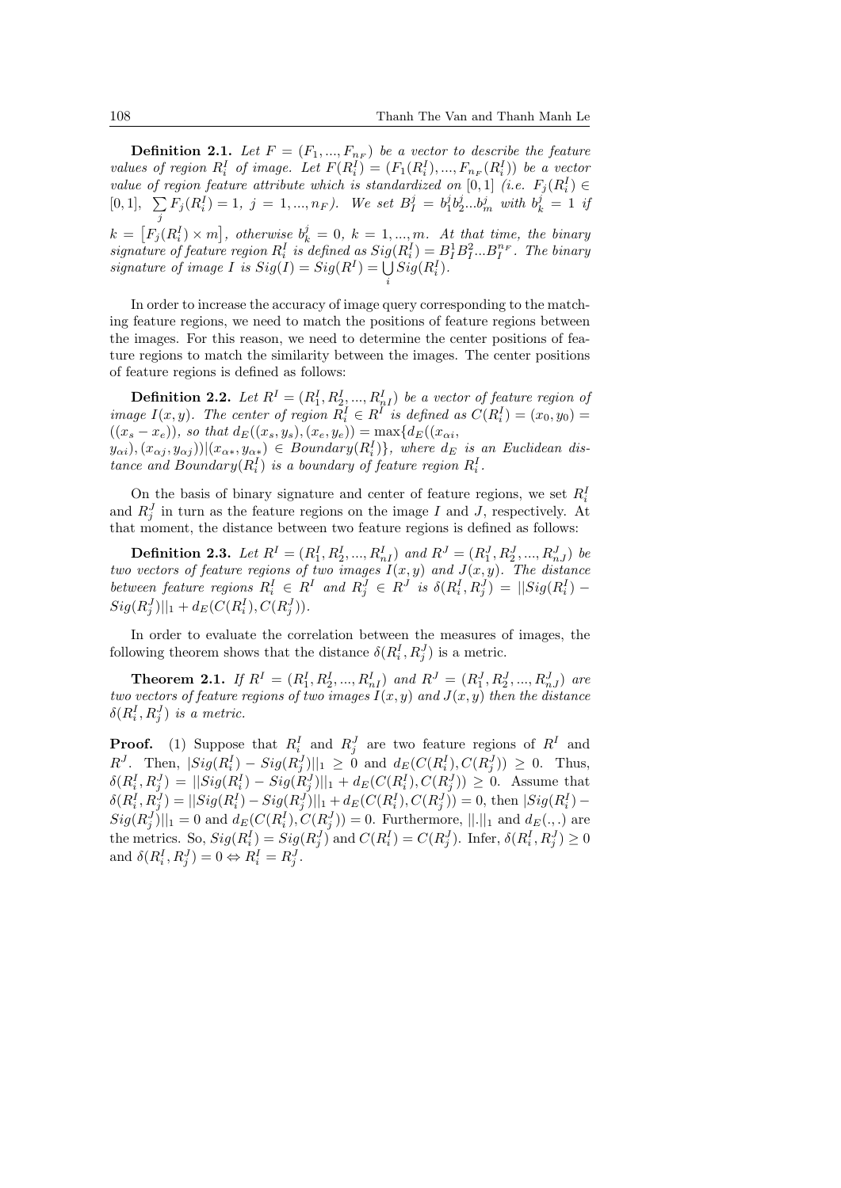**Definition 2.1.** Let  $F = (F_1, ..., F_{n_F})$  be a vector to describe the feature values of region  $R_i^I$  of image. Let  $F(R_i^I) = (F_1(R_i^I), ..., F_{n_F}(R_i^I))$  be a vector *value of region feature attribute which is standardized on* [0,1] *(i.e.*  $F_j(R_i^I) \in$  $[0,1], \sum$  $\sum_{j} F_j(R_i^I) = 1, \ j = 1, ..., n_F$ ). We set  $B_I^j = b_1^j b_2^j ... b_m^j$  with  $b_k^j = 1$  if  $k = [F_j(R_i^I) \times m]$ , otherwise  $b_k^j = 0$ ,  $k = 1, ..., m$ . At that time, the binary *signature of feature region*  $R_i^I$  *is defined as*  $Sig(R_i^I) = B_i^1 B_i^2 ... B_i^{n_F}$ . The binary *signature of image I is*  $Sig(I) = Sig(R^I) = \bigcup$ *i*  $Sig(R_i^I)$ *.* 

In order to increase the accuracy of image query corresponding to the matching feature regions, we need to match the positions of feature regions between the images. For this reason, we need to determine the center positions of feature regions to match the similarity between the images. The center positions of feature regions is defined as follows:

**Definition 2.2.** Let  $R^I = (R_1^I, R_2^I, ..., R_n^I)$  be a vector of feature region of *image*  $I(x, y)$ *. The center of region*  $R_i^I \in R^I$  *is defined as*  $C(R_i^I) = (x_0, y_0)$  $((x_s - x_e))$ *, so that*  $d_E((x_s, y_s), (x_e, y_e)) = \max\{d_E((x_{\alpha i}, y_{\alpha j}))\}$ 

 $(y_{\alpha i}), (x_{\alpha j}, y_{\alpha j}))|(x_{\alpha *}, y_{\alpha *}) \in Boundary(R_i^I)\},$  where  $d_E$  is an Euclidean dis*tance and Boundary* $(R_i^I)$  *is a boundary of feature region*  $R_i^I$ .

On the basis of binary signature and center of feature regions, we set  $R_i^l$ and  $R_j^J$  in turn as the feature regions on the image *I* and *J*, respectively. At that moment, the distance between two feature regions is defined as follows:

**Definition 2.3.** Let  $R^I = (R_1^I, R_2^I, ..., R_{nI}^I)$  and  $R^J = (R_1^J, R_2^J, ..., R_{nJ}^J)$  be *two vectors of feature regions of two images*  $I(x, y)$  *and*  $J(x, y)$ *. The distance* between feature regions  $R_i^I \in R^I$  and  $R_j^J \in R^J$  is  $\delta(R_i^I, R_j^J) = ||Sig(R_i^I) Sig(R_j^J)||_1 + d_E(C(R_i^I), C(R_j^J)).$ 

In order to evaluate the correlation between the measures of images, the following theorem shows that the distance  $\delta(R_i^I, R_j^J)$  is a metric.

**Theorem 2.1.** If  $R^I = (R_1^I, R_2^I, ..., R_{nI}^I)$  and  $R^J = (R_1^J, R_2^J, ..., R_{nJ}^J)$  are *two vectors of feature regions of two images I*(*x, y*) *and J*(*x, y*) *then the distance*  $\delta(R_i^I, R_j^J)$  *is a metric.* 

**Proof.** (1) Suppose that  $R_i^I$  and  $R_j^J$  are two feature regions of  $R^I$  and  $R^J$ . Then,  $|Sig(R_i^I) - Sig(R_j^J) ||_1 \geq 0$  and  $d_E(C(R_i^I), C(R_j^J)) \geq 0$ . Thus,  $\delta(R_i^I, R_j^J) = ||Sig(R_i^I) - Sig(R_j^J)||_1 + d_E(C(R_i^I), C(R_j^J)) \geq 0.$  Assume that  $\delta(R_i^I, R_j^J) = ||Sig(R_i^I) - Sig(R_j^J)||_1 + d_E(C(R_i^I), C(R_j^J)) = 0$ , then  $|Sig(R_i^I) Sig(R_j^J)||_1 = 0$  and  $d_E(C(R_i^I), C(R_j^J)) = 0$ . Furthermore,  $||.||_1$  and  $d_E(.,.)$  are the metrics. So,  $Sig(R_i^I) = Sig(R_j^J)$  and  $C(R_i^I) = C(R_j^J)$ . Infer,  $\delta(R_i^I, R_j^J) \geq 0$ and  $\delta(R_i^I, R_j^J) = 0 \Leftrightarrow R_i^I = R_j^J$ .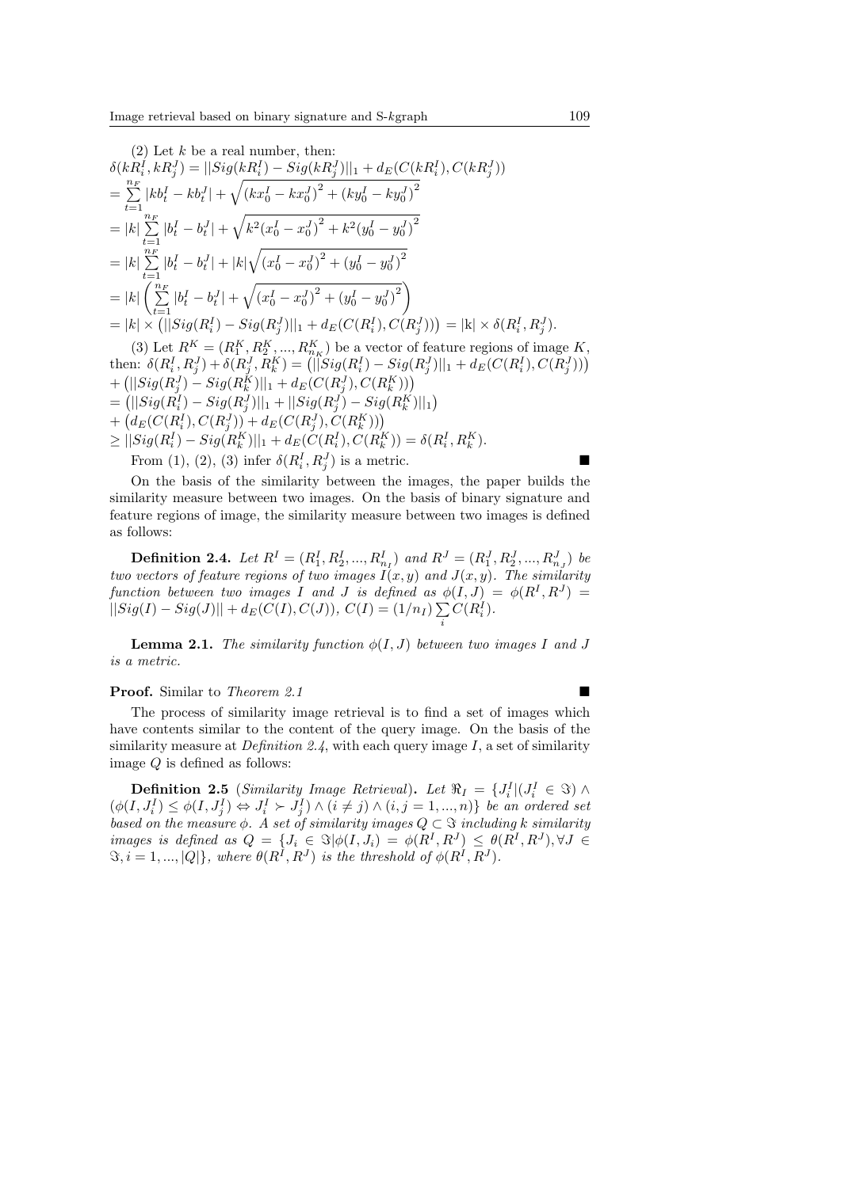(2) Let 
$$
k
$$
 be a real number, then:  
\n
$$
\delta(kR_i^I, kR_j^J) = ||Sig(kR_i^I) - Sig(kR_j^J)||_1 + d_E(C(kR_i^I), C(kR_j^J))
$$
\n
$$
= \sum_{t=1}^{n_F} |kb_t^I - kb_t^J| + \sqrt{(kx_0^I - kx_0^J)^2 + (ky_0^I - ky_0^J)^2}
$$
\n
$$
= |k| \sum_{t=1}^{n_F} |b_t^I - b_t^J| + |\sqrt{k^2(x_0^I - x_0^J)^2 + k^2(y_0^I - y_0^J)^2}
$$
\n
$$
= |k| \sum_{t=1}^{n_F} |b_t^I - b_t^J| + |k| \sqrt{(x_0^I - x_0^J)^2 + (y_0^I - y_0^J)^2}
$$
\n
$$
= |k| \left(\sum_{t=1}^{n_F} |b_t^I - b_t^J| + \sqrt{(x_0^I - x_0^J)^2 + (y_0^I - y_0^J)^2}\right)
$$
\n
$$
= |k| \times (||Sig(R_i^I) - Sig(R_j^J)||_1 + d_E(C(R_i^I), C(R_j^J))) = |k| \times \delta(R_i^I, R_j^J).
$$
\n(3) Let  $R^K = (R_1^K, R_2^K, ..., R_K^K)$  be a vector of feature regions of image  $K$ , then:  $\delta(R_i^I, R_j^J) + \delta(R_j^J, R_k^K) = (||Sig(R_i^I) - Sig(R_j^J)||_1 + d_E(C(R_i^I), C(R_j^J)))$ 

 $+ (||Sig(R_j^J) - Sig(R_k^K)||_1 + d_E(C(R_j^J), C(R_k^K)))$  $= (||Sig(R_i^{\tilde{I}}) - Sig(R_j^J)||_1 + ||Sig(R_j^{\tilde{J}}) - Sig(R_k^K)||_1)$  $+\left(d_E(C(R_i^I), C(R_j^J)) + d_E(C(R_j^J), C(R_k^K))\right)$  $\geq ||Sig(R_i^I) - Sig(R_k^K)||_1 + d_E(C(R_i^I), C(R_k^K)) = \delta(R_i^I, R_k^K).$ From (1), (2), (3) infer  $\delta(R_i^I, R_j^J)$  is a metric.

On the basis of the similarity between the images, the paper builds the similarity measure between two images. On the basis of binary signature and feature regions of image, the similarity measure between two images is defined as follows:

**Definition 2.4.** Let  $R^I = (R_1^I, R_2^I, ..., R_{n_I}^I)$  and  $R^J = (R_1^J, R_2^J, ..., R_{n_J}^J)$  be *two vectors of feature regions of two images*  $I(x, y)$  and  $J(x, y)$ . The similarity *function between two images I* and *J is defined as*  $\phi(I, J) = \phi(R^I, R^J)$  =  $||Sig(I) - Sig(J)|| + d_E(C(I), C(J)), C(I) = (1/n_I) \sum$ *i*  $C(R_i^I)$ .

**Lemma 2.1.** *The similarity function*  $\phi(I, J)$  *between two images I* and *J is a metric.*

#### **Proof.** Similar to *Theorem 2.1*

The process of similarity image retrieval is to find a set of images which have contents similar to the content of the query image. On the basis of the similarity measure at *Definition 2.4*, with each query image *I*, a set of similarity image *Q* is defined as follows:

**Definition 2.5** (*Similarity Image Retrieval*). Let  $\Re_I = \{J_i^I | (J_i^I \in \Im) \land \Im \}$  $(\phi(I, J_i^I) \leq \phi(I, J_j^I) \Leftrightarrow J_i^I \succ J_j^I) \wedge (i \neq j) \wedge (i, j = 1, ..., n)$  be an ordered set *based on the measure*  $\phi$ *. A set of similarity images*  $Q \subset \mathcal{F}$  *including*  $k$  *similarity* images is defined as  $Q = \{J_i \in \Im | \phi(I, J_i) = \phi(R^I, R^J) \leq \theta(R^I, R^J), \forall J \in \mathcal{A}\}$  $\mathfrak{B}, i = 1, ..., |Q|$ , where  $\theta(R^I, R^J)$  is the threshold of  $\phi(R^I, R^J)$ .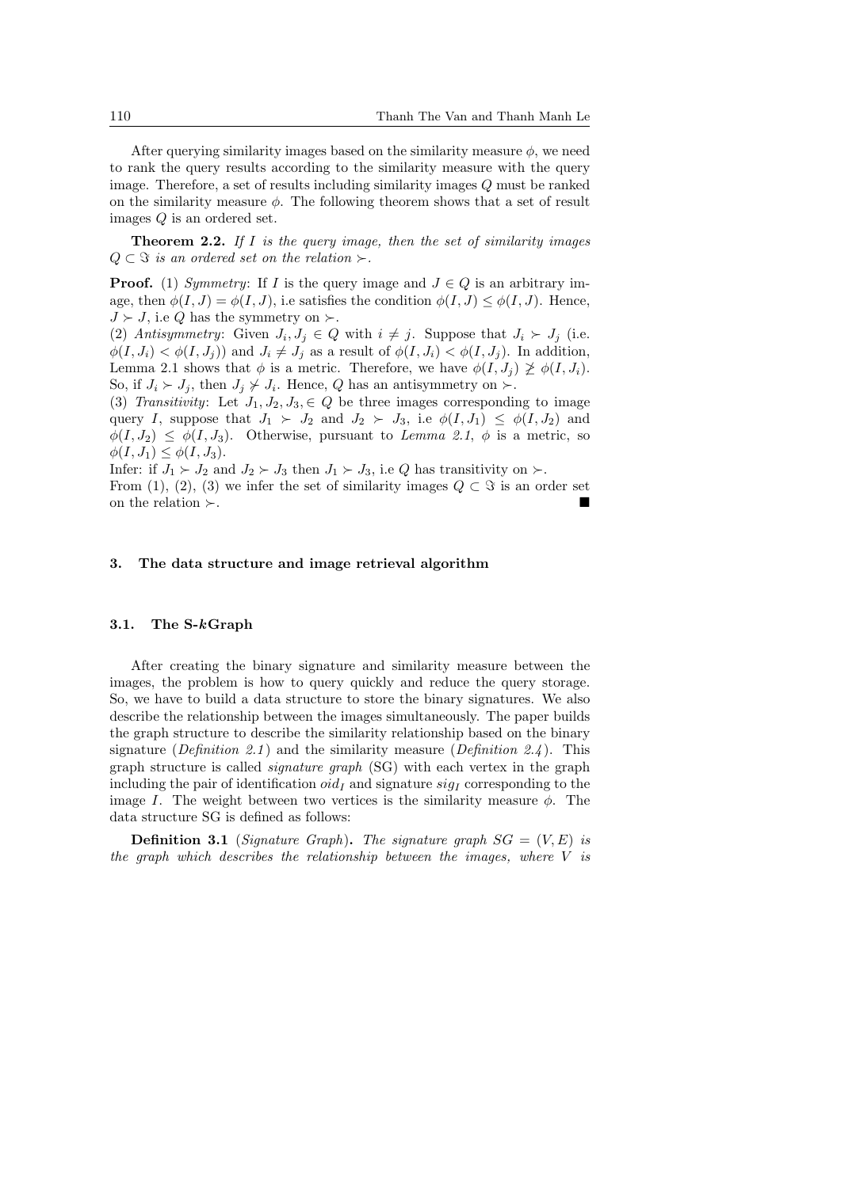After querying similarity images based on the similarity measure  $\phi$ , we need to rank the query results according to the similarity measure with the query image. Therefore, a set of results including similarity images *Q* must be ranked on the similarity measure *ϕ*. The following theorem shows that a set of result images *Q* is an ordered set.

**Theorem 2.2.** *If I is the query image, then the set of similarity images*  $Q ⊂$  *S is an ordered set on the relation*  $\succ$ *.* 

**Proof.** (1) *Symmetry*: If *I* is the query image and  $J \in Q$  is an arbitrary image, then  $\phi(I, J) = \phi(I, J)$ , i.e satisfies the condition  $\phi(I, J) \leq \phi(I, J)$ . Hence,  $J \succ J$ , i.e *Q* has the symmetry on  $\succ$ .

(2) *Antisymmetry:* Given  $J_i, J_j \in Q$  with  $i \neq j$ . Suppose that  $J_i \succ J_j$  (i.e.  $\phi(I, J_i) < \phi(I, J_j)$  and  $J_i \neq J_j$  as a result of  $\phi(I, J_i) < \phi(I, J_j)$ . In addition, Lemma 2.1 shows that  $\phi$  is a metric. Therefore, we have  $\phi(I, J_i) \not\geq \phi(I, J_i)$ . So, if  $J_i \succ J_j$ , then  $J_j \not\vdash J_i$ . Hence,  $Q$  has an antisymmetry on  $\succ$ .

(3) *Transitivity*: Let  $J_1, J_2, J_3, \in Q$  be three images corresponding to image query *I*, suppose that  $J_1 \succ J_2$  and  $J_2 \succ J_3$ , i.e  $\phi(I, J_1) \leq \phi(I, J_2)$  and  $\phi(I, J_2) \leq \phi(I, J_3)$ . Otherwise, pursuant to *Lemma 2.1*,  $\phi$  is a metric, so  $\phi(I, J_1) \leq \phi(I, J_3).$ 

Infer: if  $J_1 \succ J_2$  and  $J_2 \succ J_3$  then  $J_1 \succ J_3$ , i.e Q has transitivity on  $\succ$ . From (1), (2), (3) we infer the set of similarity images  $Q \subset \Im$  is an order set on the relation *≻*.

#### **3. The data structure and image retrieval algorithm**

#### **3.1. The S-***k***Graph**

After creating the binary signature and similarity measure between the images, the problem is how to query quickly and reduce the query storage. So, we have to build a data structure to store the binary signatures. We also describe the relationship between the images simultaneously. The paper builds the graph structure to describe the similarity relationship based on the binary signature (*Definition 2.1* ) and the similarity measure (*Definition 2.4* ). This graph structure is called *signature graph* (SG) with each vertex in the graph including the pair of identification  $oid<sub>I</sub>$  and signature  $sig<sub>I</sub>$  corresponding to the image *I*. The weight between two vertices is the similarity measure  $\phi$ . The data structure SG is defined as follows:

**Definition 3.1** (*Signature Graph*). The signature graph  $SG = (V, E)$  is *the graph which describes the relationship between the images, where V is*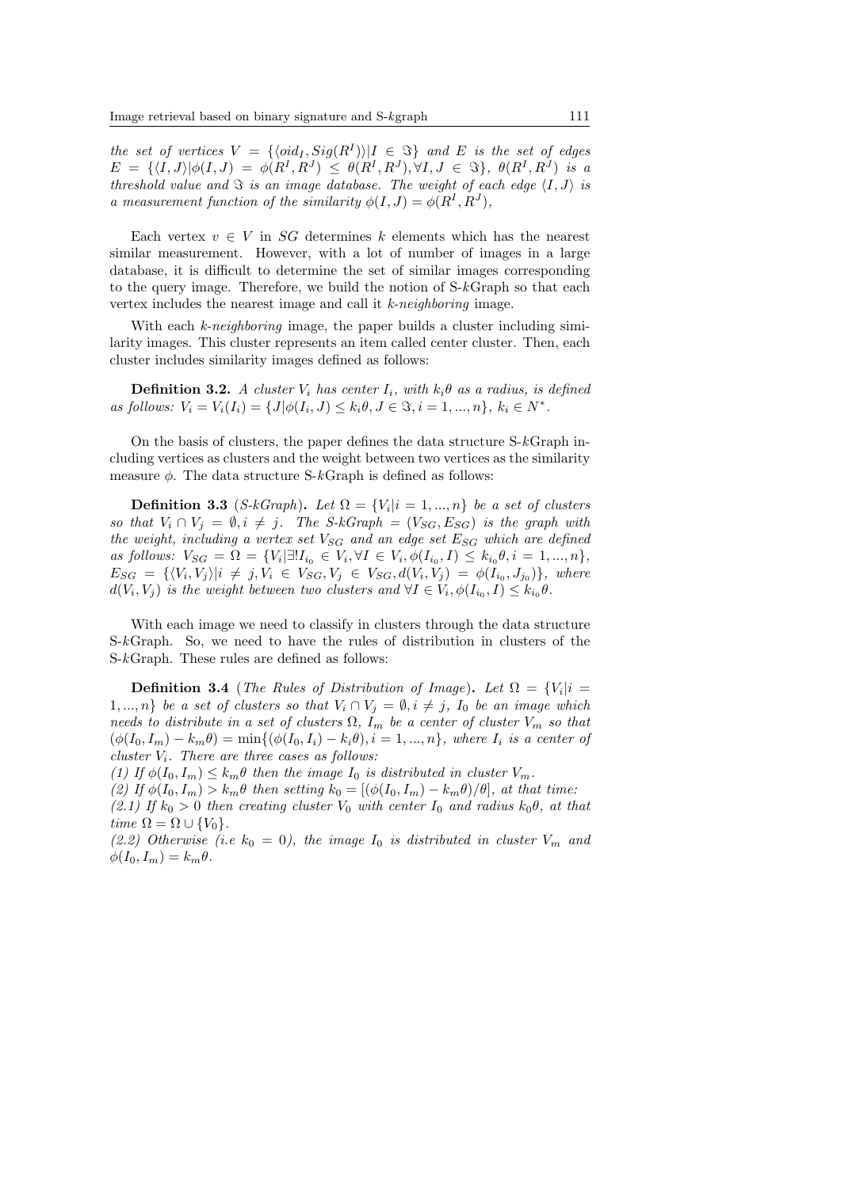*the set of vertices*  $V = \{ \langle \text{oid}_I, \text{Sig}(R^I) \rangle | I \in \Im \}$  and E is the set of edges  $E = \{ \langle I, J \rangle | \phi(I, J) = \phi(R^I, R^J) \leq \theta(R^I, R^J), \forall I, J \in \Im \}, \theta(R^I, R^J)$  is a *threshold value and*  $\Im$  *is an image database. The weight of each edge*  $\langle I, J \rangle$  *is a* measurement function of the similarity  $\phi(I, J) = \phi(R^I, R^J)$ ,

Each vertex  $v \in V$  in *SG* determines *k* elements which has the nearest similar measurement. However, with a lot of number of images in a large database, it is difficult to determine the set of similar images corresponding to the query image. Therefore, we build the notion of S-*k*Graph so that each vertex includes the nearest image and call it *k-neighboring* image.

With each *k-neighboring* image, the paper builds a cluster including similarity images. This cluster represents an item called center cluster. Then, each cluster includes similarity images defined as follows:

**Definition 3.2.** *A cluster*  $V_i$  *has center*  $I_i$ *, with*  $k_i \theta$  *as a radius, is defined* as follows:  $V_i = V_i(I_i) = \{J | \phi(I_i, J) \leq k_i \theta, J \in \Im, i = 1, ..., n\}, k_i \in N^*$ .

On the basis of clusters, the paper defines the data structure S-*k*Graph including vertices as clusters and the weight between two vertices as the similarity measure *ϕ*. The data structure S-*k*Graph is defined as follows:

**Definition 3.3** (*S-kGraph*). Let  $\Omega = \{V_i | i = 1, ..., n\}$  be a set of clusters *so that*  $V_i \cap V_j = \emptyset$ ,  $i \neq j$ . The S-kGraph =  $(V_{SG}, E_{SG})$  is the graph with *the weight, including a vertex set VSG and an edge set ESG which are defined* as follows:  $V_{SG} = \Omega = \{V_i | \exists! I_{i_0} \in V_i, \forall I \in V_i, \phi(I_{i_0}, I) \leq k_{i_0}, \theta, i = 1, ..., n\},\$  $E_{SG} = \{ \langle V_i, V_j \rangle | i \neq j, V_i \in V_{SG}, V_j \in V_{SG}, d(V_i, V_j) = \phi(I_{i_0}, J_{j_0}) \},$  where  $d(V_i, V_j)$  is the weight between two clusters and  $\forall I \in V_i$ ,  $\phi(I_{i_0}, I) \leq k_{i_0}\theta$ .

With each image we need to classify in clusters through the data structure S-*k*Graph. So, we need to have the rules of distribution in clusters of the S-*k*Graph. These rules are defined as follows:

**Definition 3.4** (*The Rules of Distribution of Image*). Let  $\Omega = \{V_i | i =$ 1, ..., *n}* be a set of clusters so that  $V_i \cap V_j = \emptyset$ ,  $i \neq j$ ,  $I_0$  be an image which *needs to distribute in a set of clusters*  $\Omega$ *,*  $I_m$  *be a center of cluster*  $V_m$  *so that*  $(\phi(I_0, I_m) - k_m \theta) = \min\{(\phi(I_0, I_i) - k_i \theta), i = 1, ..., n\},$  where  $I_i$  is a center of *cluster Vi. There are three cases as follows:*

(1) If  $\phi(I_0, I_m) \leq k_m \theta$  then the image  $I_0$  is distributed in cluster  $V_m$ .

 $(2)$  *If*  $\phi(I_0, I_m) > k_m \theta$  then setting  $k_0 = [(\phi(I_0, I_m) - k_m \theta)/\theta]$ , at that time:

 $(2.1)$  *If*  $k_0 > 0$  *then creating cluster*  $V_0$  *with center*  $I_0$  *and radius*  $k_0 \theta$ *, at that*  $time \Omega = \Omega \cup \{V_0\}.$ 

(2.2) Otherwise (i.e  $k_0 = 0$ ), the image  $I_0$  is distributed in cluster  $V_m$  and  $\phi(I_0, I_m) = k_m \theta$ .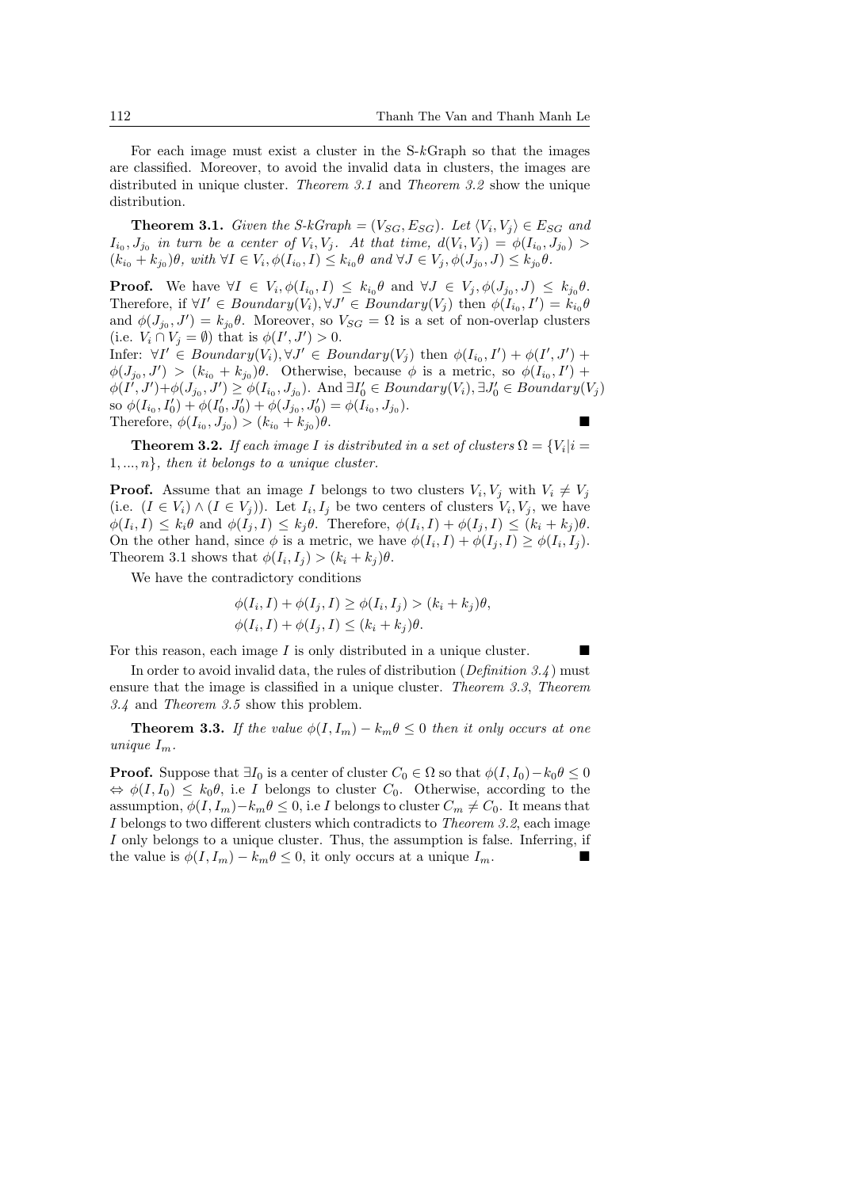For each image must exist a cluster in the S-*k*Graph so that the images are classified. Moreover, to avoid the invalid data in clusters, the images are distributed in unique cluster. *Theorem 3.1* and *Theorem 3.2* show the unique distribution.

**Theorem 3.1.** *Given the S-kGraph* =  $(V_{SG}, E_{SG})$ *. Let*  $\langle V_i, V_j \rangle \in E_{SG}$  *and*  $I_{i_0}, J_{j_0}$  in turn be a center of  $V_i, V_j$ . At that time,  $d(V_i, V_j) = \phi(I_{i_0}, J_{j_0}) >$  $(k_{i_0} + k_{j_0})\theta$ , with  $\forall I \in V_i$ ,  $\phi(I_{i_0}, I) \leq k_{i_0}\theta$  and  $\forall J \in V_j$ ,  $\phi(J_{j_0}, J) \leq k_{j_0}\theta$ .

**Proof.** We have  $\forall I \in V_i, \phi(I_{i_0}, I) \leq k_{i_0}\theta$  and  $\forall J \in V_j, \phi(J_{j_0}, J) \leq k_{j_0}\theta$ . Therefore, if  $\forall I' \in Boundary(V_i), \forall J' \in Boundary(V_j)$  then  $\phi(I_{i_0}, I') = k_{i_0} \theta$ and  $\phi(J_{j_0}, J') = k_{j_0}\theta$ . Moreover, so  $V_{SG} = \Omega$  is a set of non-overlap clusters (i.e.  $V_i \cap V_j = \emptyset$ ) that is  $\phi(I', J') > 0$ .

Infer:  $\forall I' \in Boundary(V_i), \forall J' \in Boundary(V_j)$  then  $\phi(I_{i_0}, I') + \phi(I', J') +$  $\phi$ (*J*<sub>j</sub><sup>0</sup>, *J'*) > ( $k_{i_0} + k_{j_0}$ ) $\theta$ . Otherwise, because  $\phi$  is a metric, so  $\phi$ ( $I_{i_0}, I'$ ) +  $\phi(I',J')+\phi(J_{j_0},J')\geq \phi(I_{i_0},J_{j_0})$ . And  $\exists I'_0\in Boundary(V_i), \exists J'_0\in Boundary(V_j)$ so  $\phi(I_{i_0}, I'_0) + \phi(I'_0, J'_0) + \phi(J_{j_0}, J'_0) = \phi(I_{i_0}, J_{j_0}).$ Therefore,  $\phi(I_{i_0}, J_{j_0}) > (k_{i_0} + k_{j_0})$ )*θ*.

**Theorem 3.2.** *If each image I is distributed in a set of clusters*  $\Omega = \{V_i | i = 1\}$ 1*, ..., n}, then it belongs to a unique cluster.*

**Proof.** Assume that an image *I* belongs to two clusters  $V_i$ ,  $V_j$  with  $V_i \neq V_j$ (i.e.  $(I \in V_i) \wedge (I \in V_j)$ ). Let  $I_i, I_j$  be two centers of clusters  $V_i, V_j$ , we have  $\phi(I_i, I) \leq k_i \theta$  and  $\phi(I_j, I) \leq k_j \theta$ . Therefore,  $\phi(I_i, I) + \phi(I_j, I) \leq (k_i + k_j) \theta$ . On the other hand, since  $\phi$  is a metric, we have  $\phi(I_i, I) + \phi(I_j, I) \geq \phi(I_i, I_j)$ . Theorem 3.1 shows that  $\phi(I_i, I_j) > (k_i + k_j)\theta$ .

We have the contradictory conditions

$$
\begin{aligned} \phi(I_i, I) + \phi(I_j, I) &\ge \phi(I_i, I_j) > (k_i + k_j)\theta, \\ \phi(I_i, I) + \phi(I_j, I) &\le (k_i + k_j)\theta. \end{aligned}
$$

For this reason, each image *I* is only distributed in a unique cluster.

In order to avoid invalid data, the rules of distribution (*Definition 3.4* ) must ensure that the image is classified in a unique cluster. *Theorem 3.3*, *Theorem 3.4* and *Theorem 3.5* show this problem.

**Theorem 3.3.** *If the value*  $\phi(I, I_m) - k_m \theta \leq 0$  *then it only occurs at one unique*  $I_m$ *.* 

**Proof.** Suppose that  $\exists I_0$  is a center of cluster  $C_0 \in \Omega$  so that  $\phi(I, I_0) - k_0 \theta \leq 0$  $\Leftrightarrow \phi(I, I_0) \leq k_0 \theta$ , i.e *I* belongs to cluster *C*<sub>0</sub>. Otherwise, according to the assumption,  $\phi(I, I_m) - k_m \theta \leq 0$ , i.e *I* belongs to cluster  $C_m \neq C_0$ . It means that *I* belongs to two different clusters which contradicts to *Theorem 3.2*, each image *I* only belongs to a unique cluster. Thus, the assumption is false. Inferring, if the value is  $\phi(I, I_m) - k_m \theta \leq 0$ , it only occurs at a unique  $I_m$ .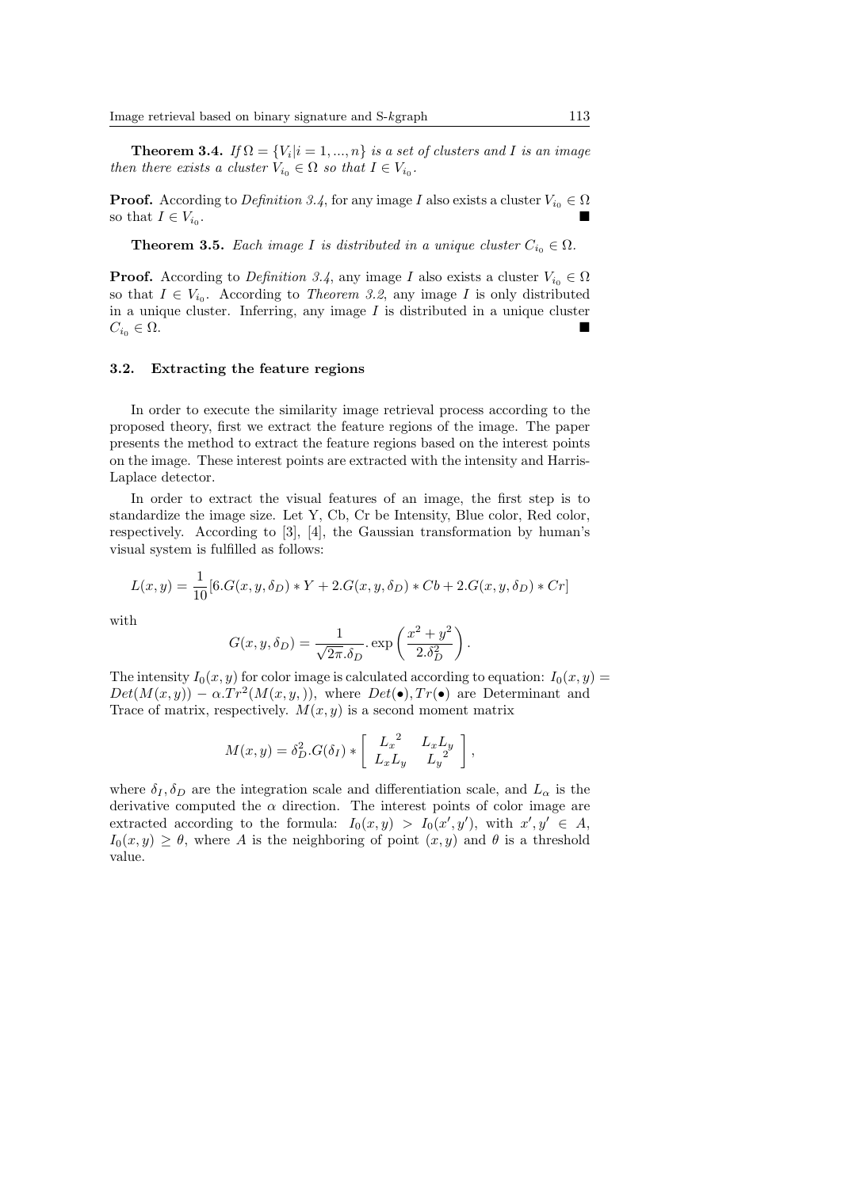**Theorem 3.4.** *If*  $\Omega = \{V_i | i = 1, ..., n\}$  *is a set of clusters and I is an image then there exists a cluster*  $V_{i_0} \in \Omega$  *so that*  $I \in V_{i_0}$ .

**Proof.** According to *Definition 3.4*, for any image *I* also exists a cluster  $V_{i_0} \in \Omega$ so that  $I \in V_{i_0}$ . .

**Theorem 3.5.** *Each image I is distributed in a unique cluster*  $C_{i_0} \in \Omega$ *.* 

**Proof.** According to *Definition 3.4*, any image *I* also exists a cluster  $V_{i_0} \in \Omega$ so that  $I \in V_{i_0}$ . According to *Theorem 3.2*, any image *I* is only distributed in a unique cluster. Inferring, any image *I* is distributed in a unique cluster  $C_{i_0} \in \Omega$ .

#### **3.2. Extracting the feature regions**

In order to execute the similarity image retrieval process according to the proposed theory, first we extract the feature regions of the image. The paper presents the method to extract the feature regions based on the interest points on the image. These interest points are extracted with the intensity and Harris-Laplace detector.

In order to extract the visual features of an image, the first step is to standardize the image size. Let Y, Cb, Cr be Intensity, Blue color, Red color, respectively. According to [3], [4], the Gaussian transformation by human's visual system is fulfilled as follows:

$$
L(x,y) = \frac{1}{10} [6.G(x, y, \delta_D) * Y + 2.G(x, y, \delta_D) * Cb + 2.G(x, y, \delta_D) * Cr]
$$

with

$$
G(x, y, \delta_D) = \frac{1}{\sqrt{2\pi}.\delta_D} \cdot \exp\left(\frac{x^2 + y^2}{2.\delta_D^2}\right).
$$

The intensity  $I_0(x, y)$  for color image is calculated according to equation:  $I_0(x, y)$  $Det(M(x, y)) - \alpha \cdot Tr^2(M(x, y,))$ , where  $Det(\bullet), Tr(\bullet)$  are Determinant and Trace of matrix, respectively.  $M(x, y)$  is a second moment matrix

$$
M(x,y) = \delta_D^2.G(\delta_I) * \begin{bmatrix} L_x{}^2 & L_xL_y \ L_xL_y & L_y{}^2 \end{bmatrix},
$$

where  $\delta_I, \delta_D$  are the integration scale and differentiation scale, and  $L_\alpha$  is the derivative computed the  $\alpha$  direction. The interest points of color image are extracted according to the formula:  $I_0(x,y) > I_0(x',y')$ , with  $x',y' \in A$ ,  $I_0(x, y) \geq \theta$ , where *A* is the neighboring of point  $(x, y)$  and  $\theta$  is a threshold value.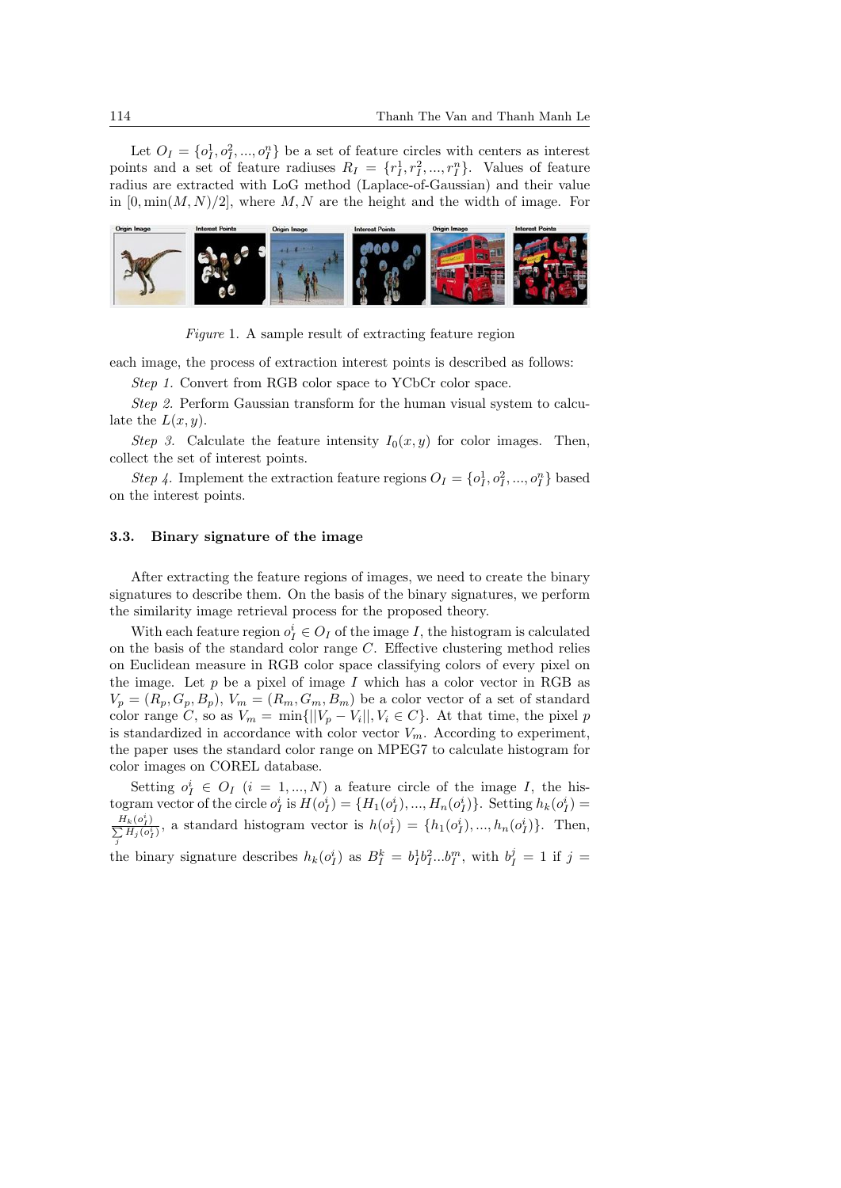Let  $O_I = \{o_I^1, o_I^2, ..., o_I^n\}$  be a set of feature circles with centers as interest points and a set of feature radiuses  $R_I = \{r_I^1, r_I^2, ..., r_I^n\}$ . Values of feature radius are extracted with LoG method (Laplace-of-Gaussian) and their value in  $[0, \min(M, N)/2]$ , where M, N are the height and the width of image. For



*Figure* 1. A sample result of extracting feature region

each image, the process of extraction interest points is described as follows:

*Step 1.* Convert from RGB color space to YCbCr color space.

*Step 2.* Perform Gaussian transform for the human visual system to calculate the  $L(x, y)$ .

*Step 3.* Calculate the feature intensity  $I_0(x, y)$  for color images. Then, collect the set of interest points.

*Step 4*. Implement the extraction feature regions  $O_I = \{o_I^1, o_I^2, ..., o_I^n\}$  based on the interest points.

#### **3.3. Binary signature of the image**

After extracting the feature regions of images, we need to create the binary signatures to describe them. On the basis of the binary signatures, we perform the similarity image retrieval process for the proposed theory.

With each feature region  $o_I^i \in O_I$  of the image *I*, the histogram is calculated on the basis of the standard color range *C*. Effective clustering method relies on Euclidean measure in RGB color space classifying colors of every pixel on the image. Let  $p$  be a pixel of image  $I$  which has a color vector in RGB as  $V_p = (R_p, G_p, B_p), V_m = (R_m, G_m, B_m)$  be a color vector of a set of standard color range *C*, so as  $V_m = \min\{||V_p - V_i||, V_i \in C\}$ . At that time, the pixel *p* is standardized in accordance with color vector  $V_m$ . According to experiment, the paper uses the standard color range on MPEG7 to calculate histogram for color images on COREL database.

Setting  $o_I^i \in O_I$  (*i* = 1, ..., *N*) a feature circle of the image *I*, the histogram vector of the circle  $o_I^i$  is  $H(o_I^i) = \{H_1(o_I^i), ..., H_n(o_I^i)\}\$ . Setting  $h_k(o_I^i) =$  $\frac{H_k(o_I^i)}{\sum H_i(o_i^i)}$  $\frac{H_k(o_i^*)}{\sum_j H_j(o_i^*)}$ , a standard histogram vector is  $h(o_l^i) = \{h_1(o_l^i), ..., h_n(o_l^i)\}$ . Then,

the binary signature describes  $h_k(o_I^i)$  as  $B_I^k = b_I^1 b_I^2...b_I^m$ , with  $b_I^j = 1$  if  $j =$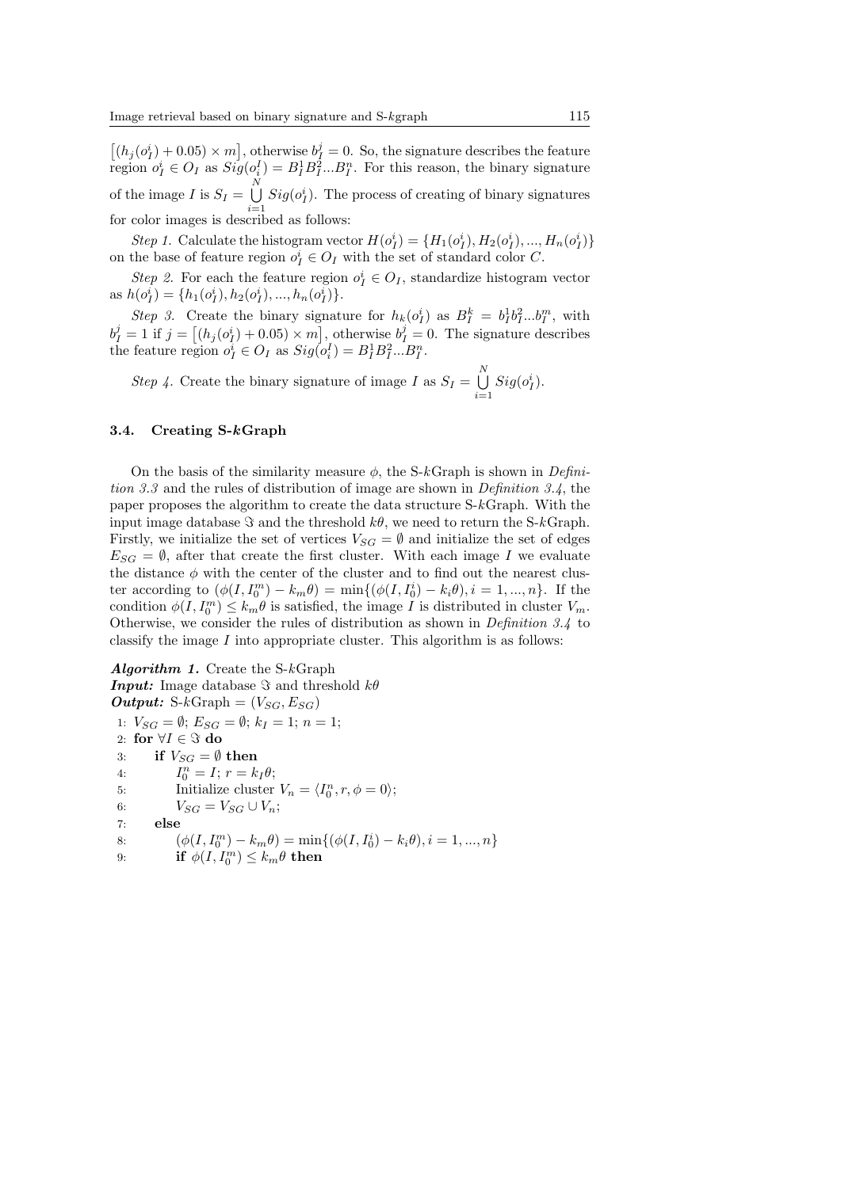$[(h_j(o_l^i) + 0.05) \times m]$ , otherwise  $b_l^j = 0$ . So, the signature describes the feature region  $o_I^i \in O_I$  as  $Sig(o_i^I) = B_I^1 B_I^2 ... B_I^n$ . For this reason, the binary signature of the image *I* is  $S_I = \bigcup^N$ *i*=1  $Sig(o<sub>I</sub><sup>i</sup>)$ . The process of creating of binary signatures for color images is described as follows:

Step 1. Calculate the histogram vector  $H(o_I^i) = \{H_1(o_I^i), H_2(o_I^i), ..., H_n(o_I^i)\}\$ on the base of feature region  $o_I^i \in O_I$  with the set of standard color *C*.

*Step 2.* For each the feature region  $o_I^i \in O_I$ , standardize histogram vector as  $h(o_I^i) = \{h_1(o_I^i), h_2(o_I^i), ..., h_n(o_I^i)\}.$ 

*Step 3.* Create the binary signature for  $h_k(o_l^i)$  as  $B_l^k = b_l^1 b_l^2 ... b_l^m$ , with  $b_I^j = 1$  if  $j = [(h_j(o_I^i) + 0.05) \times m]$ , otherwise  $b_I^j = 0$ . The signature describes the feature region  $o_I^i \in O_I$  as  $Sig(o_i^I) = B_I^1 B_I^2 ... B_I^n$ .

*Step 4.* Create the binary signature of image *I* as  $S_I = \bigcup_{i=1}^{N} S_i$ *i*=1  $Sig(o_I^i)$ .

#### **3.4. Creating S-***k***Graph**

On the basis of the similarity measure  $\phi$ , the S- $k$ Graph is shown in *Definition 3.3* and the rules of distribution of image are shown in *Definition 3.4*, the paper proposes the algorithm to create the data structure S-*k*Graph. With the input image database  $\Im$  and the threshold  $k\theta$ , we need to return the S- $k$ Graph. Firstly, we initialize the set of vertices  $V_{SG} = \emptyset$  and initialize the set of edges  $E_{SG} = \emptyset$ , after that create the first cluster. With each image *I* we evaluate the distance  $\phi$  with the center of the cluster and to find out the nearest cluster according to  $(\phi(I, I_0^m) - k_m \theta) = \min\{(\phi(I, I_0^i) - k_i \theta), i = 1, ..., n\}$ . If the condition  $\phi(I, I_0^m) \leq k_m \theta$  is satisfied, the image *I* is distributed in cluster  $V_m$ . Otherwise, we consider the rules of distribution as shown in *Definition 3.4* to classify the image *I* into appropriate cluster. This algorithm is as follows:

*Algorithm 1.* Create the S-*k*Graph *Input:* Image database *ℑ* and threshold *kθ*  $Output: S-kGraph = (V_{SG}, E_{SG})$ 1:  $V_{SG} = \emptyset$ ;  $E_{SG} = \emptyset$ ;  $k_I = 1$ ;  $n = 1$ ; 2: **for** *∀I ∈ ℑ* **do** 3: **if**  $V_{SG} = \emptyset$  **then** 4: *I*  $a_0^n = I; r = k_I \theta;$ 5: Initialize cluster  $V_n = \langle I_0^n, r, \phi = 0 \rangle$ ; 6:  $V_{SG} = V_{SG} \cup V_n;$ 7: **else** 8:  $(\phi(I, I_0^m) - k_m \theta) = \min\{(\phi(I, I_0^i) - k_i \theta), i = 1, ..., n\}$ 9: **if**  $\phi(I, I_0^m) \leq k_m \theta$  then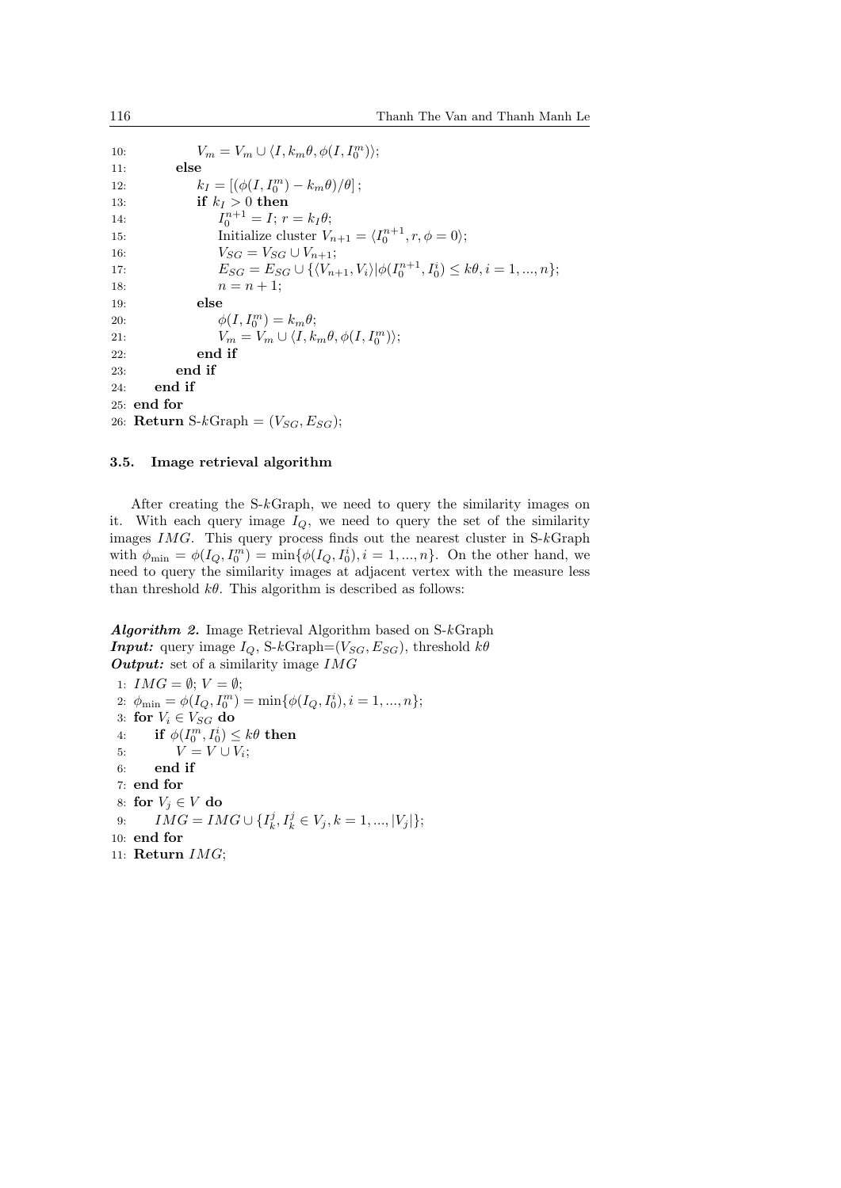10:  $V_m = V_m \cup \langle I, k_m \theta, \phi(I, I_0^m) \rangle;$ 11: **else** 12:  $k_I = [(\phi(I, I_0^m) - k_m \theta)/\theta];$ 13: **if**  $k_I > 0$  **then** 14: *I*  $n_0^{n+1} = I$ ;  $r = k_I \theta$ ; 15: Initialize cluster  $V_{n+1} = \langle I_0^{n+1}, r, \phi = 0 \rangle;$ 16:  $V_{SG} = V_{SG} \cup V_{n+1};$ 17:  $E_{SG} = E_{SG} \cup \{ \langle V_{n+1}, V_i \rangle | \phi(I_0^{n+1}, I_0^i) \leq k\theta, i = 1, ..., n \};$ 18:  $n = n + 1;$ 19: **else** 20:  $\phi(I, I_0^m) = k_m \theta;$ 21:  $V_m = V_m \cup \langle I, k_m \theta, \phi(I, I_0^m) \rangle;$ 22: **end if** 23: **end if** 24: **end if** 25: **end for** 26: **Return** S-kGraph =  $(V_{SG}, E_{SG})$ ;

#### **3.5. Image retrieval algorithm**

After creating the S-*k*Graph, we need to query the similarity images on it. With each query image  $I_Q$ , we need to query the set of the similarity images *IMG*. This query process finds out the nearest cluster in S-*k*Graph with  $\phi_{\min} = \phi(I_Q, I_0^m) = \min{\{\phi(I_Q, I_0^i), i = 1, ..., n\}}$ . On the other hand, we need to query the similarity images at adjacent vertex with the measure less than threshold  $k\theta$ . This algorithm is described as follows:

*Algorithm 2.* Image Retrieval Algorithm based on S-*k*Graph *Input:* query image  $I_Q$ , S- $k$ Graph=( $V_{SG}$ ,  $E_{SG}$ ), threshold  $k\theta$ *Output:* set of a similarity image *IMG*

1:  $IMG = \emptyset$ ;  $V = \emptyset$ ; 2:  $\phi_{\min} = \phi(I_Q, I_0^m) = \min{\{\phi(I_Q, I_0^i), i = 1, ..., n\}};$ 3: **for**  $V_i \in V_{SG}$  **do**  $4:$  **if**  $\phi(I_0^m, I_0^i) \leq k\theta$  then 5:  $V = V \cup V_i$ ; 6: **end if** 7: **end for** 8: **for**  $V_i \in V$  **do**  $9:$   $IMG = IMG \cup \{I_k^j, I_k^j \in V_j, k = 1, ..., |V_j|\};$ 10: **end for** 11: **Return** *IMG*;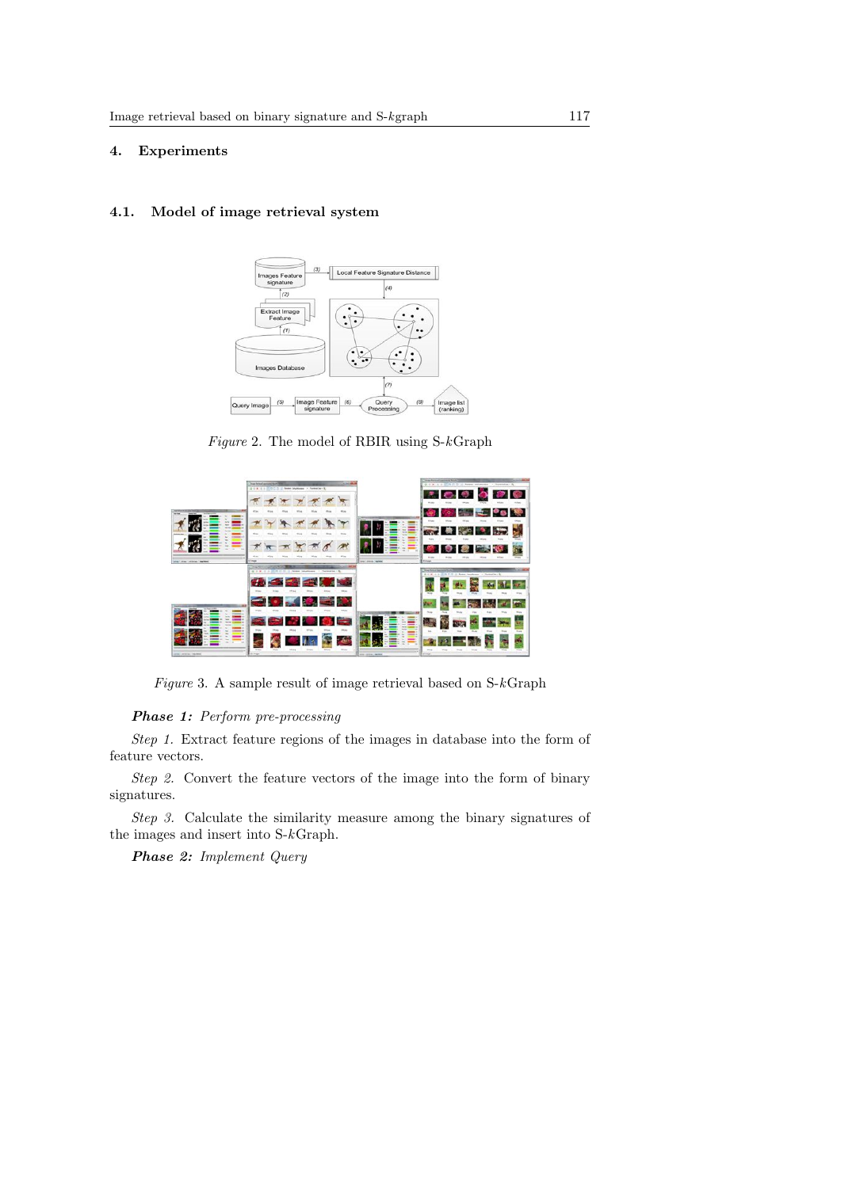## **4. Experiments**

## **4.1. Model of image retrieval system**



*Figure* 2. The model of RBIR using S-*k*Graph



*Figure* 3. A sample result of image retrieval based on S-*k*Graph

## *Phase 1: Perform pre-processing*

*Step 1.* Extract feature regions of the images in database into the form of feature vectors.

*Step 2.* Convert the feature vectors of the image into the form of binary signatures.

*Step 3.* Calculate the similarity measure among the binary signatures of the images and insert into S-*k*Graph.

*Phase 2: Implement Query*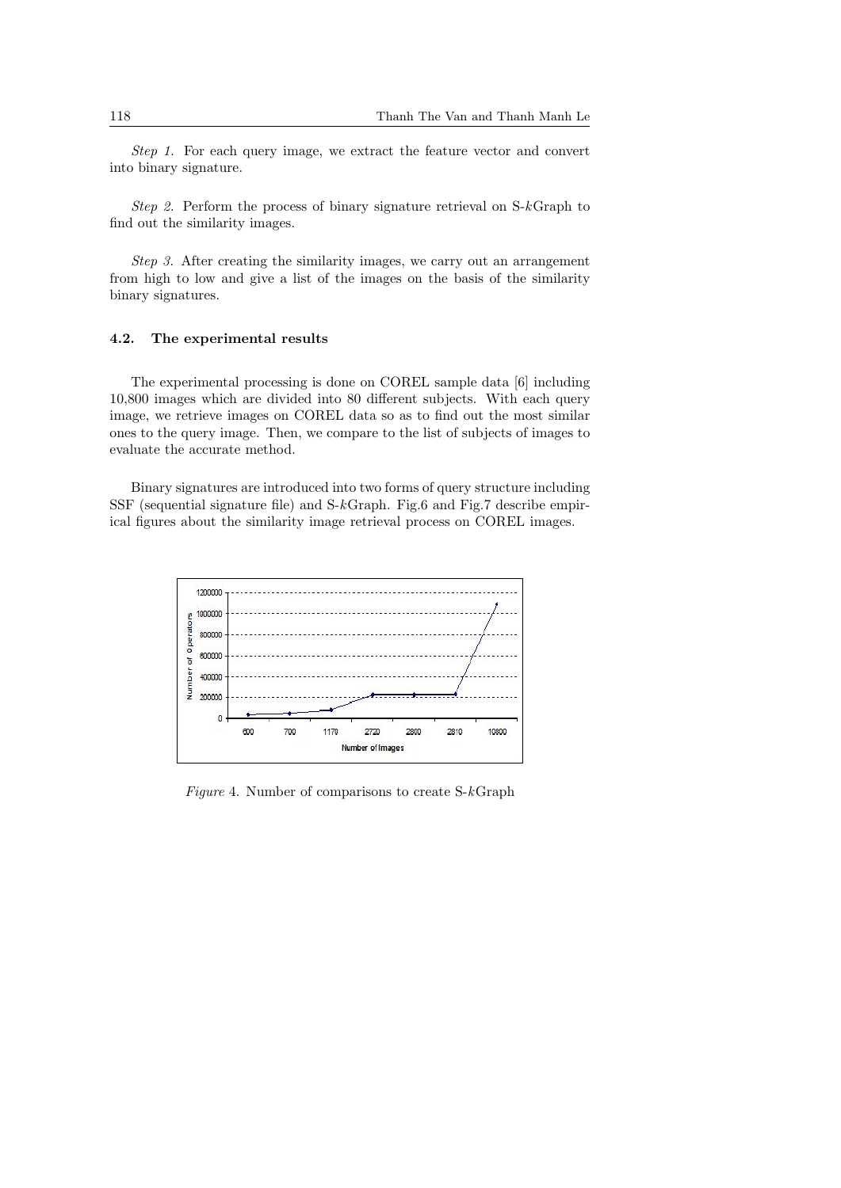*Step 1.* For each query image, we extract the feature vector and convert into binary signature.

*Step 2.* Perform the process of binary signature retrieval on S-*k*Graph to find out the similarity images.

*Step 3.* After creating the similarity images, we carry out an arrangement from high to low and give a list of the images on the basis of the similarity binary signatures.

## **4.2. The experimental results**

The experimental processing is done on COREL sample data [6] including 10,800 images which are divided into 80 different subjects. With each query image, we retrieve images on COREL data so as to find out the most similar ones to the query image. Then, we compare to the list of subjects of images to evaluate the accurate method.

Binary signatures are introduced into two forms of query structure including SSF (sequential signature file) and S-*k*Graph. Fig.6 and Fig.7 describe empirical figures about the similarity image retrieval process on COREL images.



*Figure* 4. Number of comparisons to create S-*k*Graph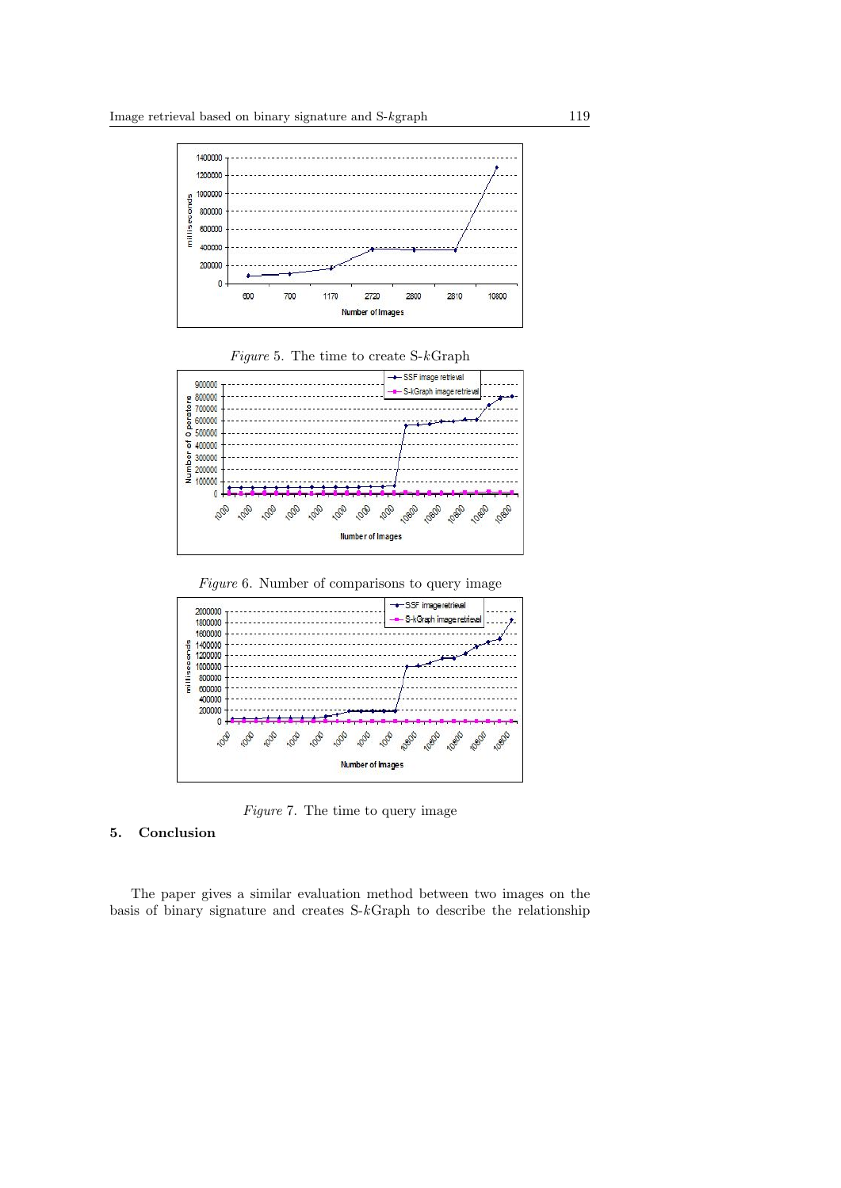

*Figure* 5. The time to create S-*k*Graph



*Figure* 6. Number of comparisons to query image



*Figure* 7. The time to query image

# **5. Conclusion**

The paper gives a similar evaluation method between two images on the basis of binary signature and creates S-*k*Graph to describe the relationship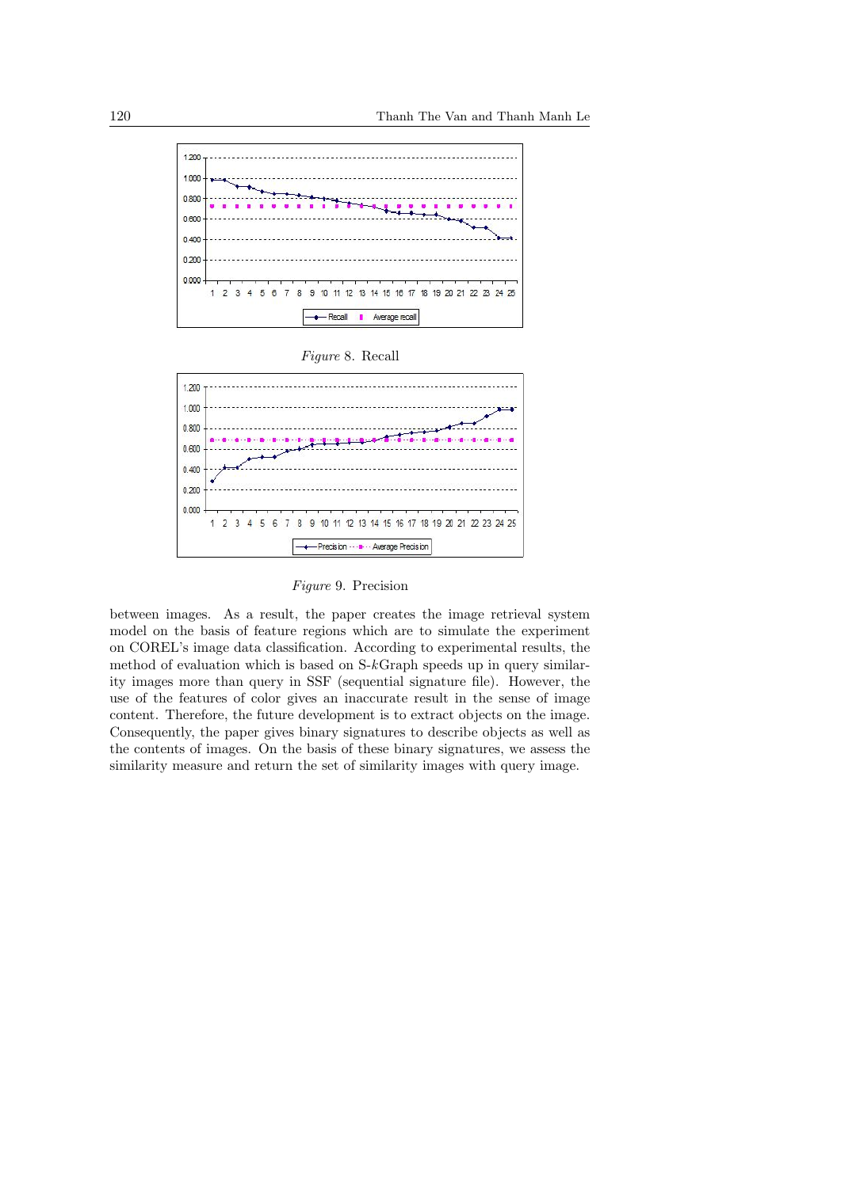

*Figure* 8. Recall



*Figure* 9. Precision

between images. As a result, the paper creates the image retrieval system model on the basis of feature regions which are to simulate the experiment on COREL's image data classification. According to experimental results, the method of evaluation which is based on S-*k*Graph speeds up in query similarity images more than query in SSF (sequential signature file). However, the use of the features of color gives an inaccurate result in the sense of image content. Therefore, the future development is to extract objects on the image. Consequently, the paper gives binary signatures to describe objects as well as the contents of images. On the basis of these binary signatures, we assess the similarity measure and return the set of similarity images with query image.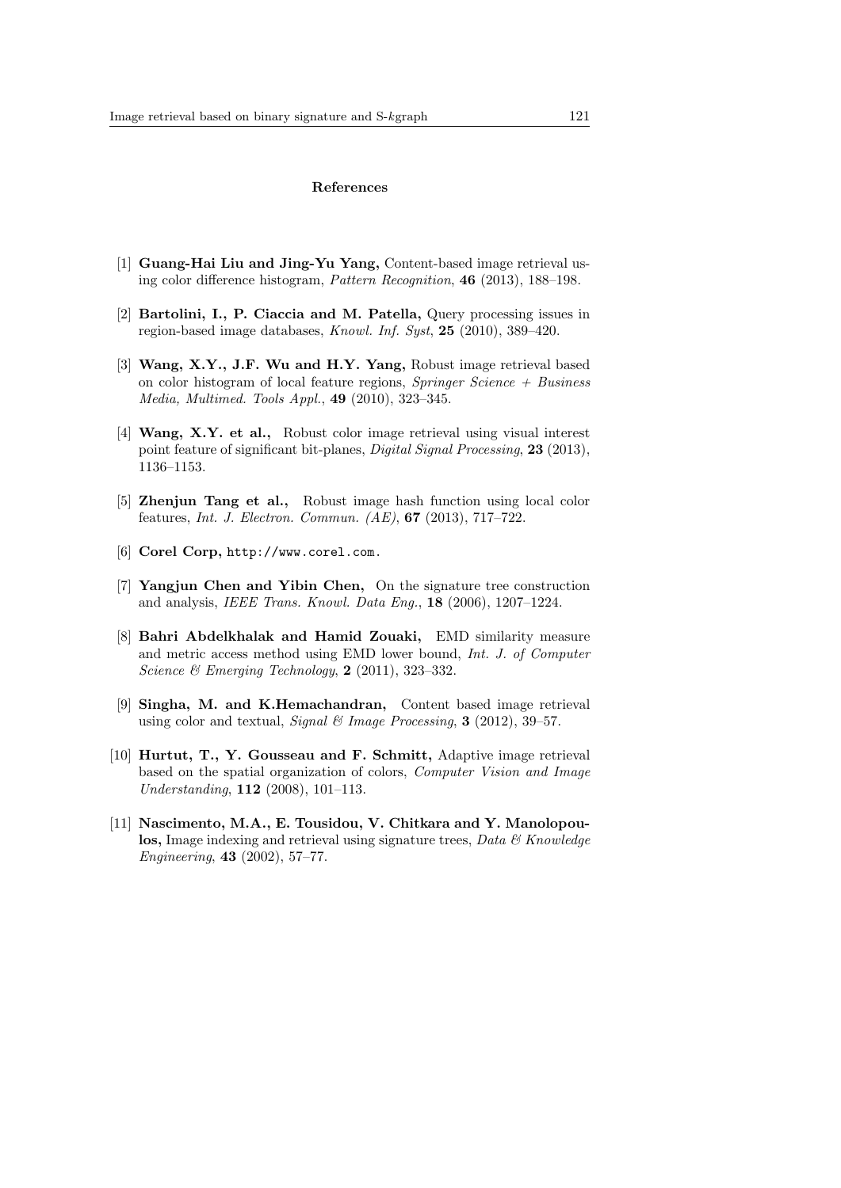#### **References**

- [1] **Guang-Hai Liu and Jing-Yu Yang,** Content-based image retrieval using color difference histogram, *Pattern Recognition*, **46** (2013), 188–198.
- [2] **Bartolini, I., P. Ciaccia and M. Patella,** Query processing issues in region-based image databases, *Knowl. Inf. Syst*, **25** (2010), 389–420.
- [3] **Wang, X.Y., J.F. Wu and H.Y. Yang,** Robust image retrieval based on color histogram of local feature regions, *Springer Science + Business Media, Multimed. Tools Appl.*, **49** (2010), 323–345.
- [4] **Wang, X.Y. et al.,** Robust color image retrieval using visual interest point feature of significant bit-planes, *Digital Signal Processing*, **23** (2013), 1136–1153.
- [5] **Zhenjun Tang et al.,** Robust image hash function using local color features, *Int. J. Electron. Commun. (AE)*, **67** (2013), 717–722.
- [6] **Corel Corp,** http://www.corel.com.
- [7] **Yangjun Chen and Yibin Chen,** On the signature tree construction and analysis, *IEEE Trans. Knowl. Data Eng.*, **18** (2006), 1207–1224.
- [8] **Bahri Abdelkhalak and Hamid Zouaki,** EMD similarity measure and metric access method using EMD lower bound, *Int. J. of Computer Science & Emerging Technology*, **2** (2011), 323–332.
- [9] **Singha, M. and K.Hemachandran,** Content based image retrieval using color and textual, *Signal & Image Processing*, **3** (2012), 39–57.
- [10] **Hurtut, T., Y. Gousseau and F. Schmitt,** Adaptive image retrieval based on the spatial organization of colors, *Computer Vision and Image Understanding*, **112** (2008), 101–113.
- [11] **Nascimento, M.A., E. Tousidou, V. Chitkara and Y. Manolopoulos,** Image indexing and retrieval using signature trees, *Data & Knowledge Engineering*, **43** (2002), 57–77.